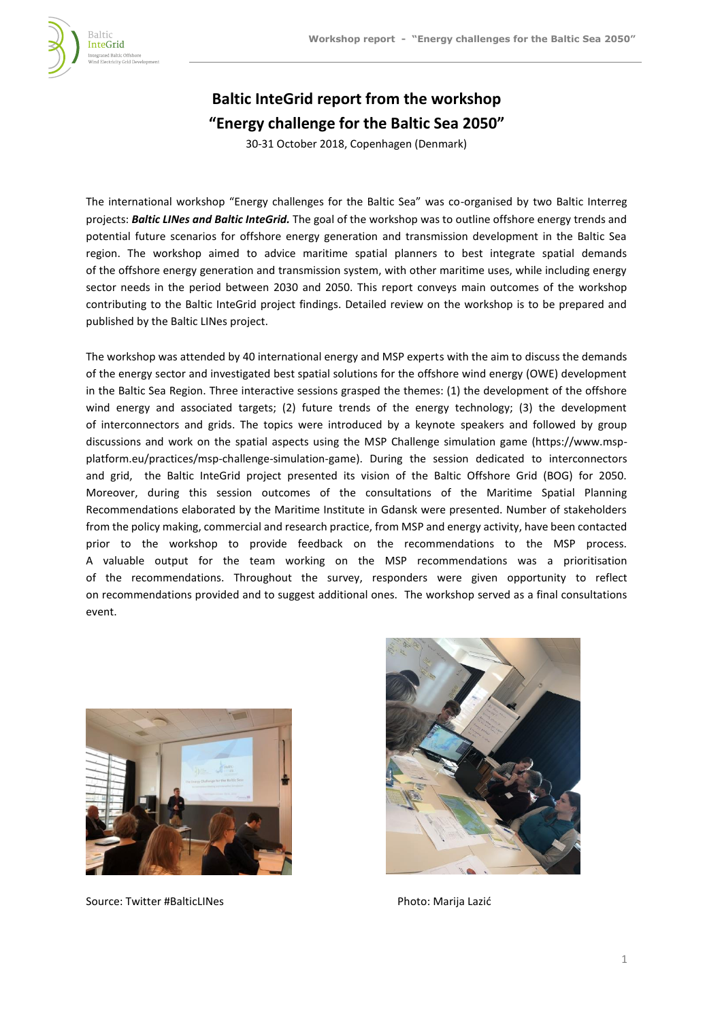

# **Baltic InteGrid report from the workshop "Energy challenge for the Baltic Sea 2050"**

30-31 October 2018, Copenhagen (Denmark)

The international workshop "Energy challenges for the Baltic Sea" was co-organised by two Baltic Interreg projects: *Baltic LINes and Baltic InteGrid.* The goal of the workshop was to outline offshore energy trends and potential future scenarios for offshore energy generation and transmission development in the Baltic Sea region. The workshop aimed to advice maritime spatial planners to best integrate spatial demands of the offshore energy generation and transmission system, with other maritime uses, while including energy sector needs in the period between 2030 and 2050. This report conveys main outcomes of the workshop contributing to the Baltic InteGrid project findings. Detailed review on the workshop is to be prepared and published by the Baltic LINes project.

The workshop was attended by 40 international energy and MSP experts with the aim to discuss the demands of the energy sector and investigated best spatial solutions for the offshore wind energy (OWE) development in the Baltic Sea Region. Three interactive sessions grasped the themes: (1) the development of the offshore wind energy and associated targets; (2) future trends of the energy technology; (3) the development of interconnectors and grids. The topics were introduced by a keynote speakers and followed by group discussions and work on the spatial aspects using the MSP Challenge simulation game (https://www.mspplatform.eu/practices/msp-challenge-simulation-game). During the session dedicated to interconnectors and grid, the Baltic InteGrid project presented its vision of the Baltic Offshore Grid (BOG) for 2050. Moreover, during this session outcomes of the consultations of the Maritime Spatial Planning Recommendations elaborated by the Maritime Institute in Gdansk were presented. Number of stakeholders from the policy making, commercial and research practice, from MSP and energy activity, have been contacted prior to the workshop to provide feedback on the recommendations to the MSP process. A valuable output for the team working on the MSP recommendations was a prioritisation of the recommendations. Throughout the survey, responders were given opportunity to reflect on recommendations provided and to suggest additional ones. The workshop served as a final consultations event.



Source: Twitter #BalticLINes **Photo: Marija Lazić** Photo: Marija Lazić

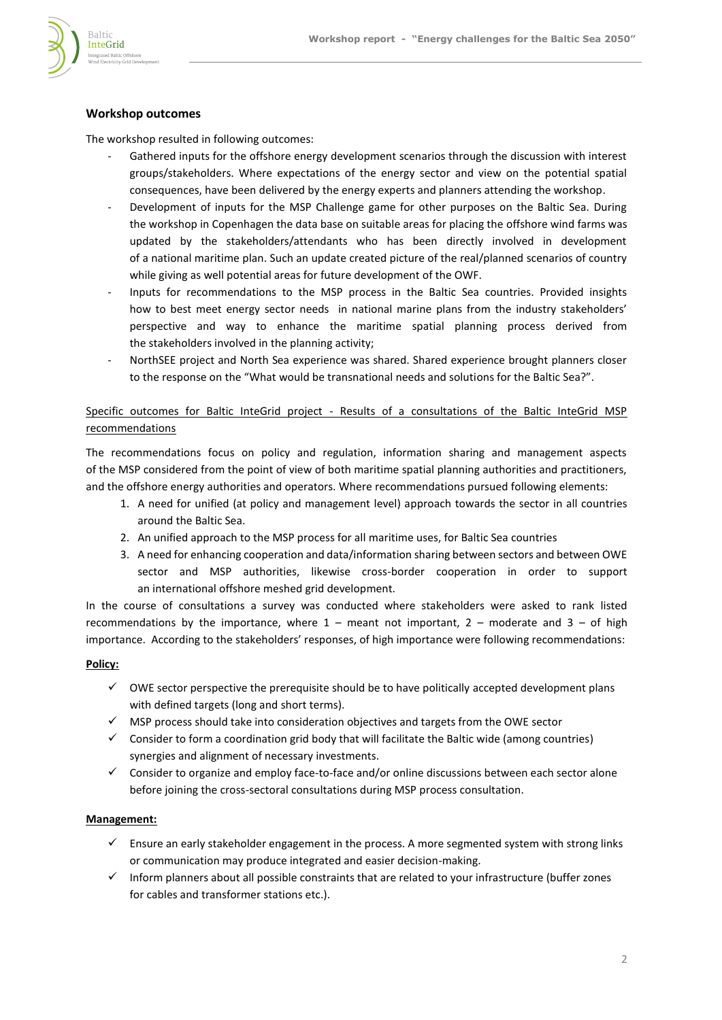

## **Workshop outcomes**

The workshop resulted in following outcomes:

- Gathered inputs for the offshore energy development scenarios through the discussion with interest groups/stakeholders. Where expectations of the energy sector and view on the potential spatial consequences, have been delivered by the energy experts and planners attending the workshop.
- Development of inputs for the MSP Challenge game for other purposes on the Baltic Sea. During the workshop in Copenhagen the data base on suitable areas for placing the offshore wind farms was updated by the stakeholders/attendants who has been directly involved in development of a national maritime plan. Such an update created picture of the real/planned scenarios of country while giving as well potential areas for future development of the OWF.
- Inputs for recommendations to the MSP process in the Baltic Sea countries. Provided insights how to best meet energy sector needs in national marine plans from the industry stakeholders' perspective and way to enhance the maritime spatial planning process derived from the stakeholders involved in the planning activity;
- NorthSEE project and North Sea experience was shared. Shared experience brought planners closer to the response on the "What would be transnational needs and solutions for the Baltic Sea?".

## Specific outcomes for Baltic InteGrid project - Results of a consultations of the Baltic InteGrid MSP recommendations

The recommendations focus on policy and regulation, information sharing and management aspects of the MSP considered from the point of view of both maritime spatial planning authorities and practitioners, and the offshore energy authorities and operators. Where recommendations pursued following elements:

- 1. A need for unified (at policy and management level) approach towards the sector in all countries around the Baltic Sea.
- 2. An unified approach to the MSP process for all maritime uses, for Baltic Sea countries
- 3. A need for enhancing cooperation and data/information sharing between sectors and between OWE sector and MSP authorities, likewise cross-border cooperation in order to support an international offshore meshed grid development.

In the course of consultations a survey was conducted where stakeholders were asked to rank listed recommendations by the importance, where  $1$  – meant not important,  $2$  – moderate and  $3$  – of high importance. According to the stakeholders' responses, of high importance were following recommendations:

#### **Policy:**

- $\checkmark$  OWE sector perspective the prerequisite should be to have politically accepted development plans with defined targets (long and short terms).
- ✓ MSP process should take into consideration objectives and targets from the OWE sector
- $\checkmark$  Consider to form a coordination grid body that will facilitate the Baltic wide (among countries) synergies and alignment of necessary investments.
- ✓ Consider to organize and employ face-to-face and/or online discussions between each sector alone before joining the cross-sectoral consultations during MSP process consultation.

#### **Management:**

- $\checkmark$  Ensure an early stakeholder engagement in the process. A more segmented system with strong links or communication may produce integrated and easier decision-making.
- ✓ Inform planners about all possible constraints that are related to your infrastructure (buffer zones for cables and transformer stations etc.).